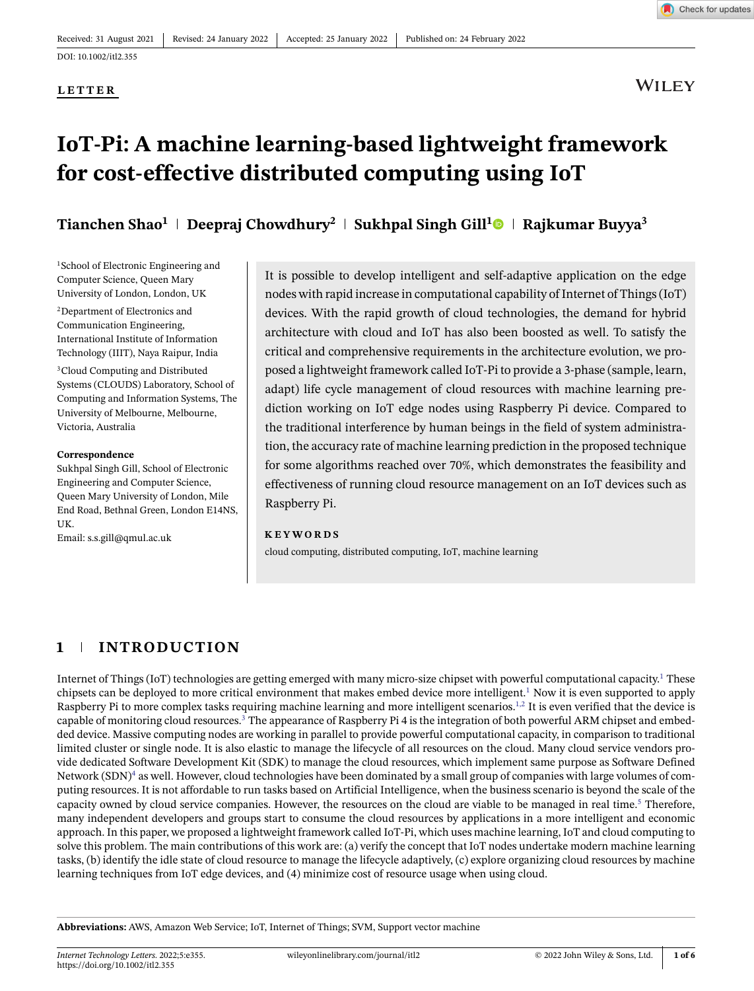**LETTER**

**WILEY** 

# **IoT-Pi: A machine learning-based lightweight framework for cost-effective distributed computing using IoT**

**Tianchen Shao<sup>1</sup> Deepraj Chowdhury<sup>2</sup> Sukhpal Singh Gill[1](https://orcid.org/0000-0002-3913-0369) Rajkumar Buyya3**

<sup>1</sup>School of Electronic Engineering and Computer Science, Queen Mary University of London, London, UK

2Department of Electronics and Communication Engineering, International Institute of Information Technology (IIIT), Naya Raipur, India <sup>3</sup>Cloud Computing and Distributed Systems (CLOUDS) Laboratory, School of Computing and Information Systems, The University of Melbourne, Melbourne, Victoria, Australia

#### **Correspondence**

Sukhpal Singh Gill, School of Electronic Engineering and Computer Science, Queen Mary University of London, Mile End Road, Bethnal Green, London E14NS, UK.

Email: s.s.gill@qmul.ac.uk

It is possible to develop intelligent and self-adaptive application on the edge nodes with rapid increase in computational capability of Internet of Things (IoT) devices. With the rapid growth of cloud technologies, the demand for hybrid architecture with cloud and IoT has also been boosted as well. To satisfy the critical and comprehensive requirements in the architecture evolution, we proposed a lightweight framework called IoT-Pi to provide a 3-phase (sample, learn, adapt) life cycle management of cloud resources with machine learning prediction working on IoT edge nodes using Raspberry Pi device. Compared to the traditional interference by human beings in the field of system administration, the accuracy rate of machine learning prediction in the proposed technique for some algorithms reached over 70%, which demonstrates the feasibility and effectiveness of running cloud resource management on an IoT devices such as Raspberry Pi.

#### **KEYWORDS**

cloud computing, distributed computing, IoT, machine learning

## **1 INTRODUCTION**

Internet of Things (IoT) technologies are getting emerged with many micro-size chipset with powerful computational capacity[.1](#page-5-0) These chipsets can be deployed to more critical environment that makes embed device more intelligent.<sup>1</sup> Now it is even supported to apply Raspberry Pi to more complex tasks requiring machine learning and more intelligent scenarios.<sup>1,2</sup> It is even verified that the device is capable of monitoring cloud resources.<sup>3</sup> The appearance of Raspberry Pi 4 is the integration of both powerful ARM chipset and embedded device. Massive computing nodes are working in parallel to provide powerful computational capacity, in comparison to traditional limited cluster or single node. It is also elastic to manage the lifecycle of all resources on the cloud. Many cloud service vendors provide dedicated Software Development Kit (SDK) to manage the cloud resources, which implement same purpose as Software Defined Network (SDN)<sup>4</sup> as well. However, cloud technologies have been dominated by a small group of companies with large volumes of computing resources. It is not affordable to run tasks based on Artificial Intelligence, when the business scenario is beyond the scale of the capacity owned by cloud service companies. However, the resources on the cloud are viable to be managed in real time.<sup>5</sup> Therefore, many independent developers and groups start to consume the cloud resources by applications in a more intelligent and economic approach. In this paper, we proposed a lightweight framework called IoT-Pi, which uses machine learning, IoT and cloud computing to solve this problem. The main contributions of this work are: (a) verify the concept that IoT nodes undertake modern machine learning tasks, (b) identify the idle state of cloud resource to manage the lifecycle adaptively, (c) explore organizing cloud resources by machine learning techniques from IoT edge devices, and (4) minimize cost of resource usage when using cloud.

**Abbreviations:** AWS, Amazon Web Service; IoT, Internet of Things; SVM, Support vector machine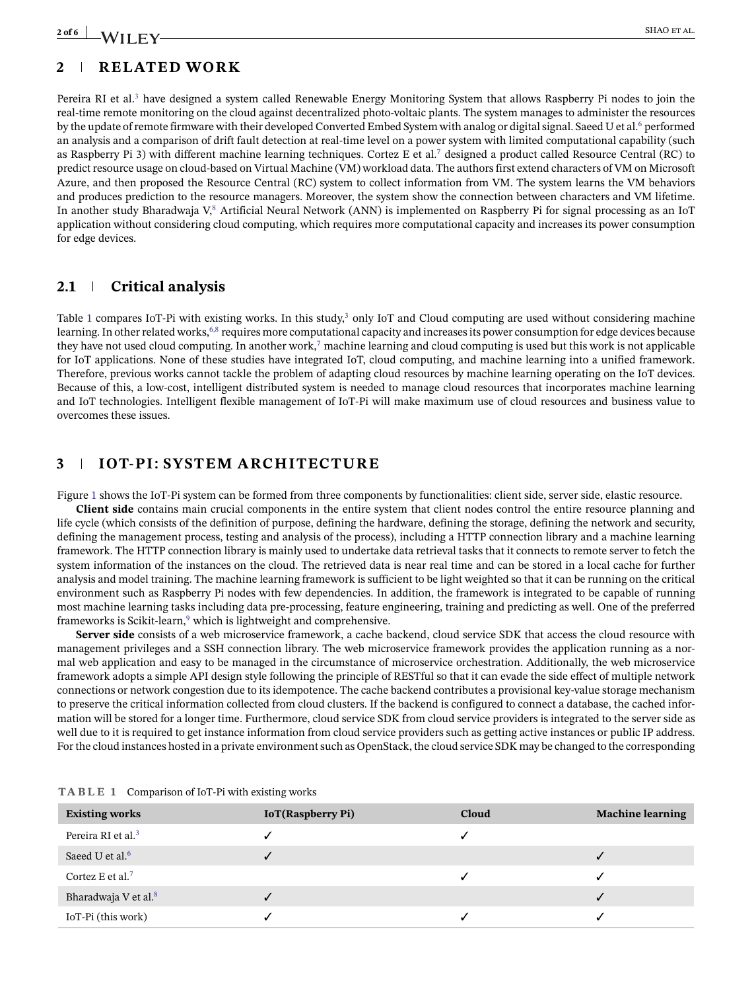## **2 of 6 I A**/II  $\Gamma$  **V**

## **2 RELATED WORK**

Pereira RI et al.<sup>3</sup> have designed a system called Renewable Energy Monitoring System that allows Raspberry Pi nodes to join the real-time remote monitoring on the cloud against decentralized photo-voltaic plants. The system manages to administer the resources by the update of remote firmware with their developed Converted Embed System with analog or digital signal. Saeed U et al.<sup>6</sup> performed an analysis and a comparison of drift fault detection at real-time level on a power system with limited computational capability (such as Raspberry Pi 3) with different machine learning techniques. Cortez E et al[.7](#page-5-5) designed a product called Resource Central (RC) to predict resource usage on cloud-based on Virtual Machine (VM) workload data. The authors first extend characters of VM on Microsoft Azure, and then proposed the Resource Central (RC) system to collect information from VM. The system learns the VM behaviors and produces prediction to the resource managers. Moreover, the system show the connection between characters and VM lifetime. In another study Bharadwaja V,<sup>8</sup> Artificial Neural Network (ANN) is implemented on Raspberry Pi for signal processing as an IoT application without considering cloud computing, which requires more computational capacity and increases its power consumption for edge devices.

## **2.1 Critical analysis**

Table [1](#page-1-0) compares IoT-Pi with existing works. In this study, $3$  only IoT and Cloud computing are used without considering machine learning. In other related works,<sup>6,8</sup> requires more computational capacity and increases its power consumption for edge devices because they have not used cloud computing. In another work, $\tau$  machine learning and cloud computing is used but this work is not applicable for IoT applications. None of these studies have integrated IoT, cloud computing, and machine learning into a unified framework. Therefore, previous works cannot tackle the problem of adapting cloud resources by machine learning operating on the IoT devices. Because of this, a low-cost, intelligent distributed system is needed to manage cloud resources that incorporates machine learning and IoT technologies. Intelligent flexible management of IoT-Pi will make maximum use of cloud resources and business value to overcomes these issues.

## **3 IOT-PI: SYSTEM ARCHITECTURE**

Figure [1](#page-2-0) shows the IoT-Pi system can be formed from three components by functionalities: client side, server side, elastic resource.

**Client side** contains main crucial components in the entire system that client nodes control the entire resource planning and life cycle (which consists of the definition of purpose, defining the hardware, defining the storage, defining the network and security, defining the management process, testing and analysis of the process), including a HTTP connection library and a machine learning framework. The HTTP connection library is mainly used to undertake data retrieval tasks that it connects to remote server to fetch the system information of the instances on the cloud. The retrieved data is near real time and can be stored in a local cache for further analysis and model training. The machine learning framework is sufficient to be light weighted so that it can be running on the critical environment such as Raspberry Pi nodes with few dependencies. In addition, the framework is integrated to be capable of running most machine learning tasks including data pre-processing, feature engineering, training and predicting as well. One of the preferred frameworks is Scikit-learn,<sup>9</sup> which is lightweight and comprehensive.

**Server side** consists of a web microservice framework, a cache backend, cloud service SDK that access the cloud resource with management privileges and a SSH connection library. The web microservice framework provides the application running as a normal web application and easy to be managed in the circumstance of microservice orchestration. Additionally, the web microservice framework adopts a simple API design style following the principle of RESTful so that it can evade the side effect of multiple network connections or network congestion due to its idempotence. The cache backend contributes a provisional key-value storage mechanism to preserve the critical information collected from cloud clusters. If the backend is configured to connect a database, the cached information will be stored for a longer time. Furthermore, cloud service SDK from cloud service providers is integrated to the server side as well due to it is required to get instance information from cloud service providers such as getting active instances or public IP address. For the cloud instances hosted in a private environment such as OpenStack, the cloud service SDK may be changed to the corresponding

<span id="page-1-0"></span>

| <b>Existing works</b>            | <b>IoT</b> (Raspberry Pi) | Cloud | <b>Machine learning</b> |
|----------------------------------|---------------------------|-------|-------------------------|
| Pereira RI et al. <sup>3</sup>   |                           |       |                         |
| Saeed U et al. <sup>6</sup>      |                           |       |                         |
| Cortez E et al. <sup>7</sup>     |                           |       |                         |
| Bharadwaja V et al. <sup>8</sup> |                           |       |                         |
| IoT-Pi (this work)               |                           |       |                         |

**TABLE 1** Comparison of IoT-Pi with existing works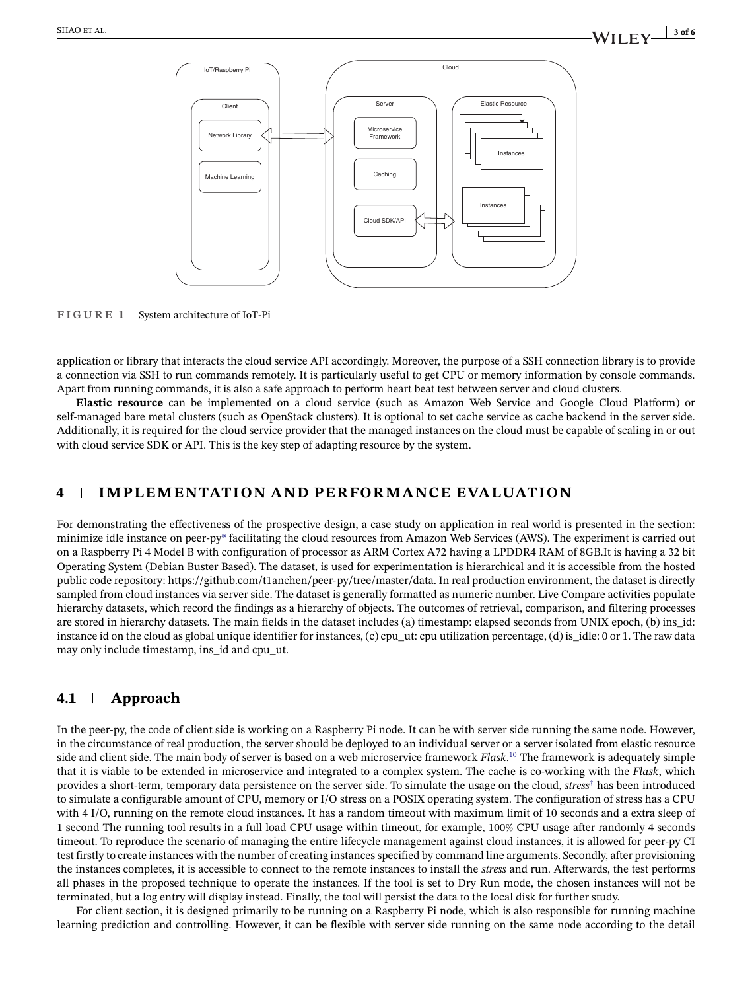

<span id="page-2-0"></span>**FIGURE 1** System architecture of IoT-Pi

application or library that interacts the cloud service API accordingly. Moreover, the purpose of a SSH connection library is to provide a connection via SSH to run commands remotely. It is particularly useful to get CPU or memory information by console commands. Apart from running commands, it is also a safe approach to perform heart beat test between server and cloud clusters.

**Elastic resource** can be implemented on a cloud service (such as Amazon Web Service and Google Cloud Platform) or self-managed bare metal clusters (such as OpenStack clusters). It is optional to set cache service as cache backend in the server side. Additionally, it is required for the cloud service provider that the managed instances on the cloud must be capable of scaling in or out with cloud service SDK or API. This is the key step of adapting resource by the system.

## **4 IMPLEMENTATION AND PERFORMANCE EVALUATION**

For demonstrating the effectiveness of the prospective design, a case study on application in real world is presented in the section: minimize idle instance on peer-py\* facilitating the cloud resources from Amazon Web Services (AWS). The experiment is carried out on a Raspberry Pi 4 Model B with configuration of processor as ARM Cortex A72 having a LPDDR4 RAM of 8GB.It is having a 32 bit Operating System (Debian Buster Based). The dataset, is used for experimentation is hierarchical and it is accessible from the hosted public code repository: [https://github.com/t1anchen/peer-py/tree/master/data.](https://github.com/t1anchen/peer-py/tree/master/data) In real production environment, the dataset is directly sampled from cloud instances via server side. The dataset is generally formatted as numeric number. Live Compare activities populate hierarchy datasets, which record the findings as a hierarchy of objects. The outcomes of retrieval, comparison, and filtering processes are stored in hierarchy datasets. The main fields in the dataset includes (a) timestamp: elapsed seconds from UNIX epoch, (b) ins\_id: instance id on the cloud as global unique identifier for instances, (c) cpu\_ut: cpu utilization percentage, (d) is  $\delta$ idle: 0 or 1. The raw data may only include timestamp, ins\_id and cpu\_ut.

## **4.1 Approach**

In the peer-py, the code of client side is working on a Raspberry Pi node. It can be with server side running the same node. However, in the circumstance of real production, the server should be deployed to an individual server or a server isolated from elastic resource side and client side. The main body of server is based on a web microservice framework *Flask*. [10](#page-5-8) The framework is adequately simple that it is viable to be extended in microservice and integrated to a complex system. The cache is co-working with the *Flask*, which provides a short-term, temporary data persistence on the server side. To simulate the usage on the cloud, *stress*† has been introduced to simulate a configurable amount of CPU, memory or I/O stress on a POSIX operating system. The configuration of stress has a CPU with 4 I/O, running on the remote cloud instances. It has a random timeout with maximum limit of 10 seconds and a extra sleep of 1 second The running tool results in a full load CPU usage within timeout, for example, 100% CPU usage after randomly 4 seconds timeout. To reproduce the scenario of managing the entire lifecycle management against cloud instances, it is allowed for peer-py CI test firstly to create instances with the number of creating instances specified by command line arguments. Secondly, after provisioning the instances completes, it is accessible to connect to the remote instances to install the *stress* and run. Afterwards, the test performs all phases in the proposed technique to operate the instances. If the tool is set to Dry Run mode, the chosen instances will not be terminated, but a log entry will display instead. Finally, the tool will persist the data to the local disk for further study.

For client section, it is designed primarily to be running on a Raspberry Pi node, which is also responsible for running machine learning prediction and controlling. However, it can be flexible with server side running on the same node according to the detail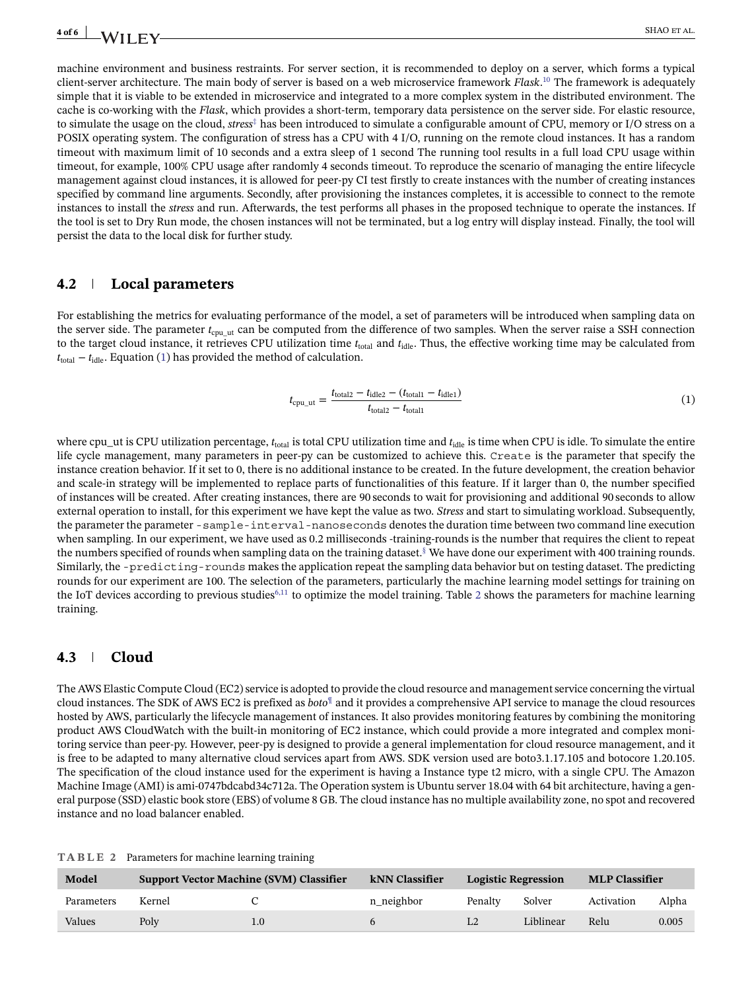machine environment and business restraints. For server section, it is recommended to deploy on a server, which forms a typical client-server architecture. The main body of server is based on a web microservice framework *Flask*. [10](#page-5-8) The framework is adequately simple that it is viable to be extended in microservice and integrated to a more complex system in the distributed environment. The cache is co-working with the *Flask*, which provides a short-term, temporary data persistence on the server side. For elastic resource, to simulate the usage on the cloud, *stress*‡ has been introduced to simulate a configurable amount of CPU, memory or I/O stress on a POSIX operating system. The configuration of stress has a CPU with 4 I/O, running on the remote cloud instances. It has a random timeout with maximum limit of 10 seconds and a extra sleep of 1 second The running tool results in a full load CPU usage within timeout, for example, 100% CPU usage after randomly 4 seconds timeout. To reproduce the scenario of managing the entire lifecycle management against cloud instances, it is allowed for peer-py CI test firstly to create instances with the number of creating instances specified by command line arguments. Secondly, after provisioning the instances completes, it is accessible to connect to the remote instances to install the *stress* and run. Afterwards, the test performs all phases in the proposed technique to operate the instances. If the tool is set to Dry Run mode, the chosen instances will not be terminated, but a log entry will display instead. Finally, the tool will persist the data to the local disk for further study.

#### **4.2 Local parameters**

For establishing the metrics for evaluating performance of the model, a set of parameters will be introduced when sampling data on the server side. The parameter  $t_{\text{cpu}}$  ut can be computed from the difference of two samples. When the server raise a SSH connection to the target cloud instance, it retrieves CPU utilization time  $t_{\text{total}}$  and  $t_{\text{idle}}$ . Thus, the effective working time may be calculated from  $t_{\text{total}} - t_{\text{idle}}$ . Equation [\(1\)](#page-3-0) has provided the method of calculation.

<span id="page-3-0"></span>
$$
t_{\rm cpu\_ut} = \frac{t_{\rm total2} - t_{\rm idle2} - (t_{\rm total1} - t_{\rm idle1})}{t_{\rm total2} - t_{\rm total1}}
$$
(1)

where cpu\_ut is CPU utilization percentage,  $t_{\text{total}}$  is total CPU utilization time and  $t_{\text{idle}}$  is time when CPU is idle. To simulate the entire life cycle management, many parameters in peer-py can be customized to achieve this. Create is the parameter that specify the instance creation behavior. If it set to 0, there is no additional instance to be created. In the future development, the creation behavior and scale-in strategy will be implemented to replace parts of functionalities of this feature. If it larger than 0, the number specified of instances will be created. After creating instances, there are 90 seconds to wait for provisioning and additional 90 seconds to allow external operation to install, for this experiment we have kept the value as two. *Stress* and start to simulating workload. Subsequently, the parameter the parameter -sample-interval-nanoseconds denotes the duration time between two command line execution when sampling. In our experiment, we have used as 0.2 milliseconds -training-rounds is the number that requires the client to repeat the numbers specified of rounds when sampling data on the training dataset.<sup>§</sup> We have done our experiment with 400 training rounds. Similarly, the -predicting-rounds makes the application repeat the sampling data behavior but on testing dataset. The predicting rounds for our experiment are 100. The selection of the parameters, particularly the machine learning model settings for training on the IoT devices according to previous studies<sup>6,11</sup> to optimize the model training. Table [2](#page-3-1) shows the parameters for machine learning training.

#### **4.3 Cloud**

The AWS Elastic Compute Cloud (EC2) service is adopted to provide the cloud resource and management service concerning the virtual cloud instances. The SDK of AWS EC2 is prefixed as *boto*¶ and it provides a comprehensive API service to manage the cloud resources hosted by AWS, particularly the lifecycle management of instances. It also provides monitoring features by combining the monitoring product AWS CloudWatch with the built-in monitoring of EC2 instance, which could provide a more integrated and complex monitoring service than peer-py. However, peer-py is designed to provide a general implementation for cloud resource management, and it is free to be adapted to many alternative cloud services apart from AWS. SDK version used are boto3.1.17.105 and botocore 1.20.105. The specification of the cloud instance used for the experiment is having a Instance type t2 micro, with a single CPU. The Amazon Machine Image (AMI) is ami-0747bdcabd34c712a. The Operation system is Ubuntu server 18.04 with 64 bit architecture, having a general purpose (SSD) elastic book store (EBS) of volume 8 GB. The cloud instance has no multiple availability zone, no spot and recovered instance and no load balancer enabled.

| TABLE 2 |  |  |  | Parameters for machine learning training |  |  |  |  |
|---------|--|--|--|------------------------------------------|--|--|--|--|
|---------|--|--|--|------------------------------------------|--|--|--|--|

<span id="page-3-1"></span>

| Model      | <b>Support Vector Machine (SVM) Classifier</b> |  | kNN Classifier | Logistic Regression |           | <b>MLP Classifier</b> |       |
|------------|------------------------------------------------|--|----------------|---------------------|-----------|-----------------------|-------|
| Parameters | Kernel                                         |  | n neighbor     | Penalty             | Solver    | Activation            | Alpha |
| Values     | Polv                                           |  |                |                     | Liblinear | Relu                  | 0.005 |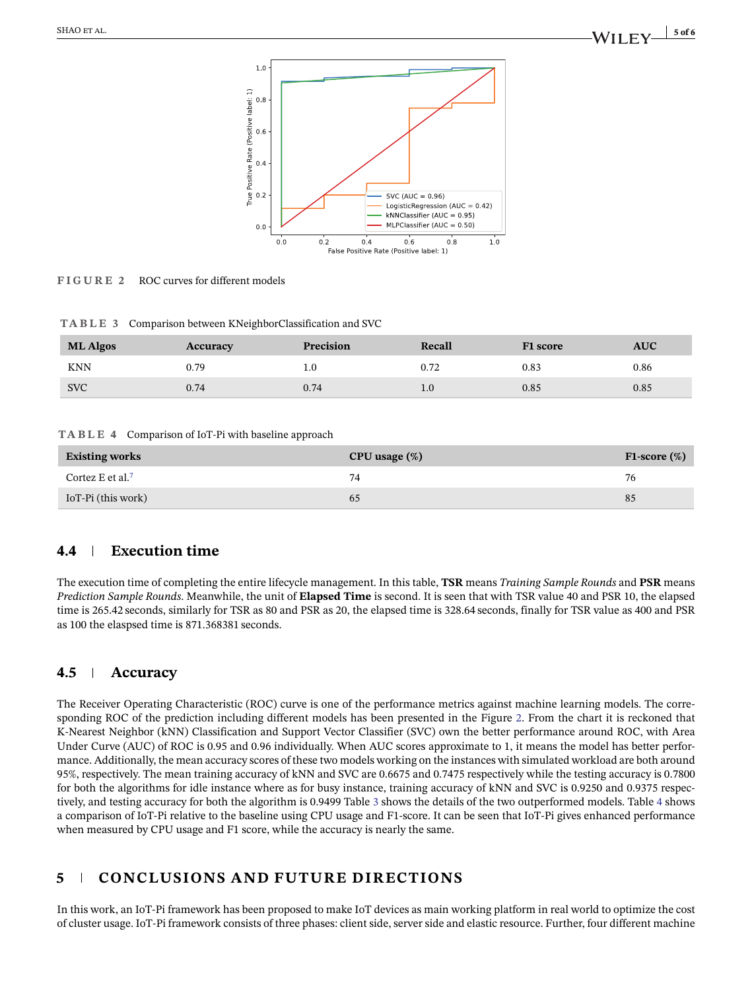

<span id="page-4-0"></span>**FIGURE 2** ROC curves for different models

|  |  | TABLE 3 Comparison between KNeighborClassification and SVC |  |
|--|--|------------------------------------------------------------|--|
|--|--|------------------------------------------------------------|--|

<span id="page-4-1"></span>

| <b>ML Algos</b> | Accuracy | Precision | Recall | F1 score | <b>AUC</b> |
|-----------------|----------|-----------|--------|----------|------------|
| <b>KNN</b>      | ).79     |           | 0.72   | 0.83     | 0.86       |
| <b>SVC</b>      | 0.74     | 0.74      | 1.U    | 0.85     | 0.85       |

#### **TABLE 4** Comparison of IoT-Pi with baseline approach

<span id="page-4-2"></span>

| <b>Existing works</b>        | CPU usage $(\%)$ | F1-score $(\%)$ |
|------------------------------|------------------|-----------------|
| Cortez E et al. <sup>7</sup> | 74               | 76              |
| IoT-Pi (this work)           | 65               | 85              |

### **4.4 Execution time**

The execution time of completing the entire lifecycle management. In this table, **TSR** means *Training Sample Rounds* and **PSR** means *Prediction Sample Rounds*. Meanwhile, the unit of **Elapsed Time** is second. It is seen that with TSR value 40 and PSR 10, the elapsed time is 265.42 seconds, similarly for TSR as 80 and PSR as 20, the elapsed time is 328.64 seconds, finally for TSR value as 400 and PSR as 100 the elaspsed time is 871.368381 seconds.

### **4.5 Accuracy**

The Receiver Operating Characteristic (ROC) curve is one of the performance metrics against machine learning models. The corresponding ROC of the prediction including different models has been presented in the Figure [2.](#page-4-0) From the chart it is reckoned that K-Nearest Neighbor (kNN) Classification and Support Vector Classifier (SVC) own the better performance around ROC, with Area Under Curve (AUC) of ROC is 0.95 and 0.96 individually. When AUC scores approximate to 1, it means the model has better performance. Additionally, the mean accuracy scores of these two models working on the instances with simulated workload are both around 95%, respectively. The mean training accuracy of kNN and SVC are 0.6675 and 0.7475 respectively while the testing accuracy is 0.7800 for both the algorithms for idle instance where as for busy instance, training accuracy of kNN and SVC is 0.9250 and 0.9375 respectively, and testing accuracy for both the algorithm is 0.9499 Table [3](#page-4-1) shows the details of the two outperformed models. Table [4](#page-4-2) shows a comparison of IoT-Pi relative to the baseline using CPU usage and F1-score. It can be seen that IoT-Pi gives enhanced performance when measured by CPU usage and F1 score, while the accuracy is nearly the same.

## **5 CONCLUSIONS AND FUTURE DIRECTIONS**

In this work, an IoT-Pi framework has been proposed to make IoT devices as main working platform in real world to optimize the cost of cluster usage. IoT-Pi framework consists of three phases: client side, server side and elastic resource. Further, four different machine